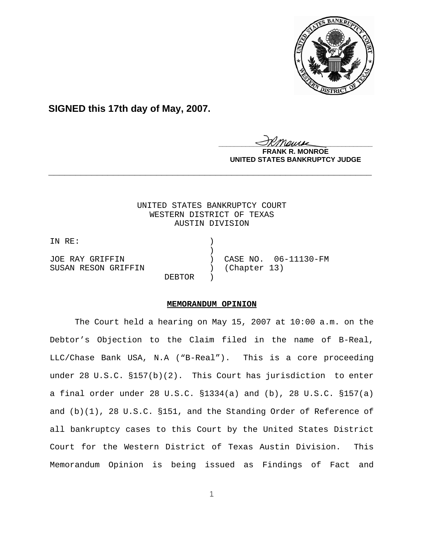

# **SIGNED this 17th day of May, 2007.**

<u>IKThemse</u>

**R. MONROE UNITED STATES BANKRUPTCY JUDGE**

# UNITED STATES BANKRUPTCY COURT WESTERN DISTRICT OF TEXAS AUSTIN DIVISION

**\_\_\_\_\_\_\_\_\_\_\_\_\_\_\_\_\_\_\_\_\_\_\_\_\_\_\_\_\_\_\_\_\_\_\_\_\_\_\_\_\_\_\_\_\_\_\_\_\_\_\_\_\_\_\_\_\_\_\_\_**

IN RE: ) ) and the contract of  $\mathcal{L}$ JOE RAY GRIFFIN ) CASE NO. 06-11130-FM SUSAN RESON GRIFFIN ) (Chapter 13) DEBTOR )

# **MEMORANDUM OPINION**

The Court held a hearing on May 15, 2007 at 10:00 a.m. on the Debtor's Objection to the Claim filed in the name of B-Real, LLC/Chase Bank USA, N.A ("B-Real"). This is a core proceeding under 28 U.S.C. §157(b)(2). This Court has jurisdiction to enter a final order under 28 U.S.C. §1334(a) and (b), 28 U.S.C. §157(a) and (b)(1), 28 U.S.C. §151, and the Standing Order of Reference of all bankruptcy cases to this Court by the United States District Court for the Western District of Texas Austin Division. This Memorandum Opinion is being issued as Findings of Fact and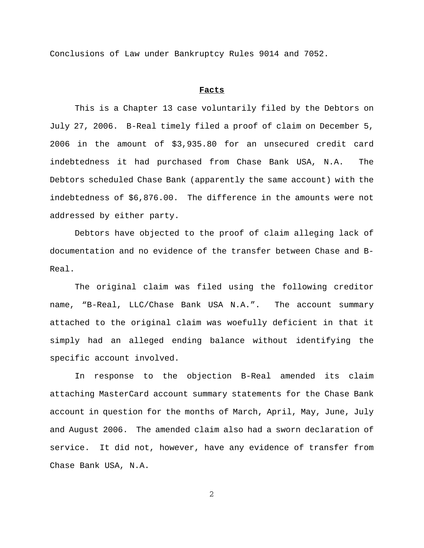Conclusions of Law under Bankruptcy Rules 9014 and 7052.

### **Facts**

This is a Chapter 13 case voluntarily filed by the Debtors on July 27, 2006. B-Real timely filed a proof of claim on December 5, 2006 in the amount of \$3,935.80 for an unsecured credit card indebtedness it had purchased from Chase Bank USA, N.A. The Debtors scheduled Chase Bank (apparently the same account) with the indebtedness of \$6,876.00. The difference in the amounts were not addressed by either party.

Debtors have objected to the proof of claim alleging lack of documentation and no evidence of the transfer between Chase and B-Real.

The original claim was filed using the following creditor name, "B-Real, LLC/Chase Bank USA N.A.". The account summary attached to the original claim was woefully deficient in that it simply had an alleged ending balance without identifying the specific account involved.

In response to the objection B-Real amended its claim attaching MasterCard account summary statements for the Chase Bank account in question for the months of March, April, May, June, July and August 2006. The amended claim also had a sworn declaration of service. It did not, however, have any evidence of transfer from Chase Bank USA, N.A.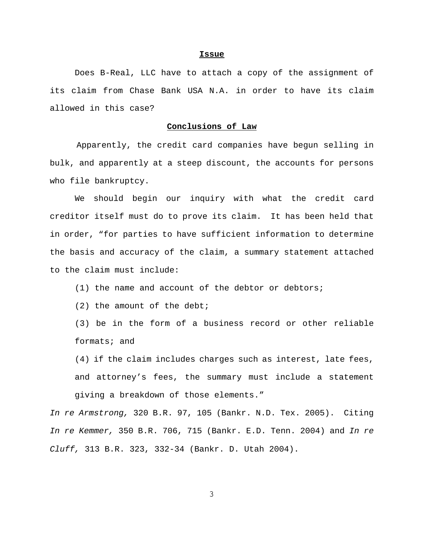#### **Issue**

Does B-Real, LLC have to attach a copy of the assignment of its claim from Chase Bank USA N.A. in order to have its claim allowed in this case?

# **Conclusions of Law**

 Apparently, the credit card companies have begun selling in bulk, and apparently at a steep discount, the accounts for persons who file bankruptcy.

We should begin our inquiry with what the credit card creditor itself must do to prove its claim. It has been held that in order, "for parties to have sufficient information to determine the basis and accuracy of the claim, a summary statement attached to the claim must include:

- (1) the name and account of the debtor or debtors;
- (2) the amount of the debt;

(3) be in the form of a business record or other reliable formats; and

(4) if the claim includes charges such as interest, late fees, and attorney's fees, the summary must include a statement giving a breakdown of those elements."

*In re Armstrong,* 320 B.R. 97, 105 (Bankr. N.D. Tex. 2005). Citing *In re Kemmer,* 350 B.R. 706, 715 (Bankr. E.D. Tenn. 2004) and *In re Cluff,* 313 B.R. 323, 332-34 (Bankr. D. Utah 2004).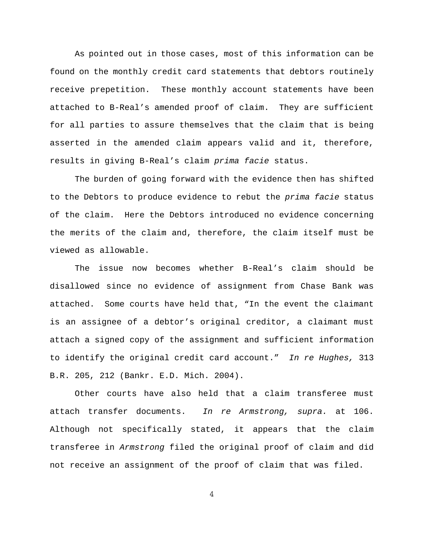As pointed out in those cases, most of this information can be found on the monthly credit card statements that debtors routinely receive prepetition. These monthly account statements have been attached to B-Real's amended proof of claim. They are sufficient for all parties to assure themselves that the claim that is being asserted in the amended claim appears valid and it, therefore, results in giving B-Real's claim *prima facie* status.

The burden of going forward with the evidence then has shifted to the Debtors to produce evidence to rebut the *prima facie* status of the claim. Here the Debtors introduced no evidence concerning the merits of the claim and, therefore, the claim itself must be viewed as allowable.

The issue now becomes whether B-Real's claim should be disallowed since no evidence of assignment from Chase Bank was attached. Some courts have held that, "In the event the claimant is an assignee of a debtor's original creditor, a claimant must attach a signed copy of the assignment and sufficient information to identify the original credit card account." *In re Hughes,* 313 B.R. 205, 212 (Bankr. E.D. Mich. 2004).

Other courts have also held that a claim transferee must attach transfer documents. *In re Armstrong, supra.* at 106. Although not specifically stated, it appears that the claim transferee in *Armstrong* filed the original proof of claim and did not receive an assignment of the proof of claim that was filed.